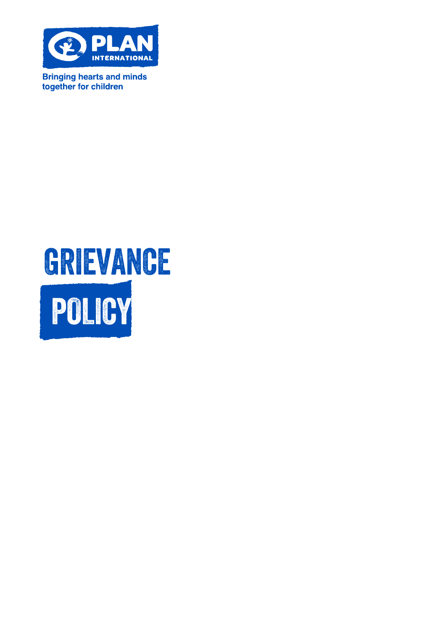

**Bringing hearts and minds** together for children

# GRIEVANCE POLICY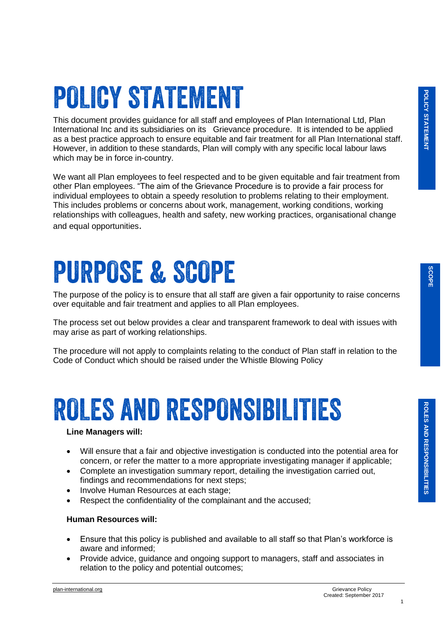## **POLICY STATEMENT**

This document provides guidance for all staff and employees of Plan International Ltd, Plan International Inc and its subsidiaries on its Grievance procedure. It is intended to be applied as a best practice approach to ensure equitable and fair treatment for all Plan International staff. However, in addition to these standards, Plan will comply with any specific local labour laws which may be in force in-country.

We want all Plan employees to feel respected and to be given equitable and fair treatment from other Plan employees. "The aim of the Grievance Procedure is to provide a fair process for individual employees to obtain a speedy resolution to problems relating to their employment. This includes problems or concerns about work, management, working conditions, working relationships with colleagues, health and safety, new working practices, organisational change and equal opportunities.

## **PURPOSE & SCOPE**

The purpose of the policy is to ensure that all staff are given a fair opportunity to raise concerns over equitable and fair treatment and applies to all Plan employees.

The process set out below provides a clear and transparent framework to deal with issues with may arise as part of working relationships.

The procedure will not apply to complaints relating to the conduct of Plan staff in relation to the Code of Conduct which should be raised under the Whistle Blowing Policy

### **ROLES AND RESPONSIBILITIES**

#### **Line Managers will:**

- Will ensure that a fair and objective investigation is conducted into the potential area for concern, or refer the matter to a more appropriate investigating manager if applicable;
- Complete an investigation summary report, detailing the investigation carried out, findings and recommendations for next steps;
- Involve Human Resources at each stage;
- Respect the confidentiality of the complainant and the accused;

#### **Human Resources will:**

- Ensure that this policy is published and available to all staff so that Plan's workforce is aware and informed;
- Provide advice, guidance and ongoing support to managers, staff and associates in relation to the policy and potential outcomes;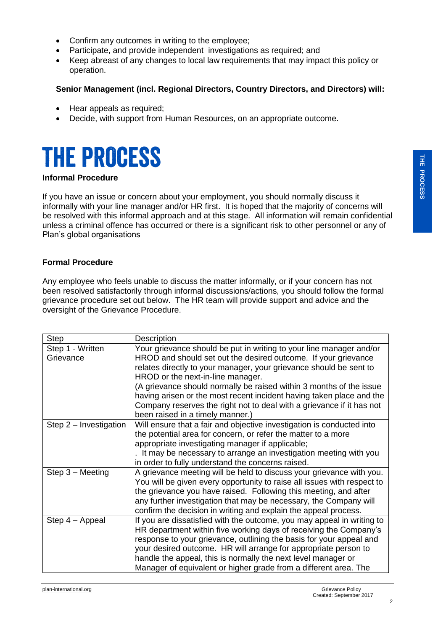- Confirm any outcomes in writing to the employee;
- Participate, and provide independent investigations as required; and
- Keep abreast of any changes to local law requirements that may impact this policy or operation.

#### **Senior Management (incl. Regional Directors, Country Directors, and Directors) will:**

- Hear appeals as required;
- Decide, with support from Human Resources, on an appropriate outcome.

### **THE PROCESS**

#### **Informal Procedure**

If you have an issue or concern about your employment, you should normally discuss it informally with your line manager and/or HR first. It is hoped that the majority of concerns will be resolved with this informal approach and at this stage. All information will remain confidential unless a criminal offence has occurred or there is a significant risk to other personnel or any of Plan's global organisations

#### **Formal Procedure**

Any employee who feels unable to discuss the matter informally, or if your concern has not been resolved satisfactorily through informal discussions/actions, you should follow the formal grievance procedure set out below. The HR team will provide support and advice and the oversight of the Grievance Procedure.

| <b>Step</b>              | Description                                                             |
|--------------------------|-------------------------------------------------------------------------|
| Step 1 - Written         | Your grievance should be put in writing to your line manager and/or     |
| Grievance                | HROD and should set out the desired outcome. If your grievance          |
|                          | relates directly to your manager, your grievance should be sent to      |
|                          | HROD or the next-in-line manager.                                       |
|                          | (A grievance should normally be raised within 3 months of the issue     |
|                          | having arisen or the most recent incident having taken place and the    |
|                          | Company reserves the right not to deal with a grievance if it has not   |
|                          | been raised in a timely manner.)                                        |
| Step $2$ – Investigation | Will ensure that a fair and objective investigation is conducted into   |
|                          | the potential area for concern, or refer the matter to a more           |
|                          | appropriate investigating manager if applicable;                        |
|                          | . It may be necessary to arrange an investigation meeting with you      |
|                          | in order to fully understand the concerns raised.                       |
| $Step 3 - Meeting$       | A grievance meeting will be held to discuss your grievance with you.    |
|                          | You will be given every opportunity to raise all issues with respect to |
|                          | the grievance you have raised. Following this meeting, and after        |
|                          | any further investigation that may be necessary, the Company will       |
|                          | confirm the decision in writing and explain the appeal process.         |
| Step 4 - Appeal          | If you are dissatisfied with the outcome, you may appeal in writing to  |
|                          | HR department within five working days of receiving the Company's       |
|                          | response to your grievance, outlining the basis for your appeal and     |
|                          | your desired outcome. HR will arrange for appropriate person to         |
|                          | handle the appeal, this is normally the next level manager or           |
|                          | Manager of equivalent or higher grade from a different area. The        |